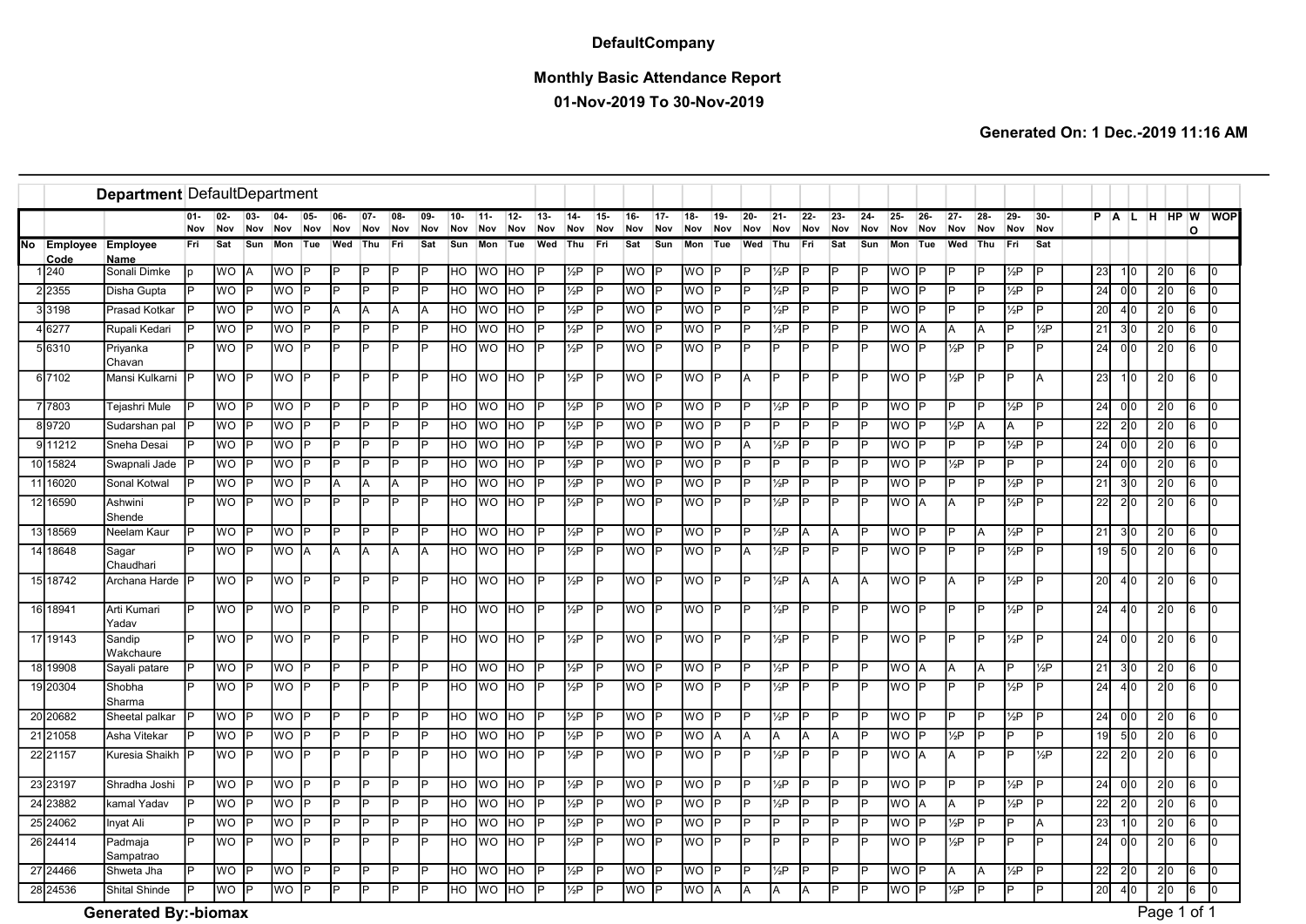## **DefaultCompany**

## Monthly Basic Attendance Report

01-Nov-2019 To 30-Nov-2019

|    |                  | Department DefaultDepartment |               |               |            |                        |           |            |            |            |            |            |               |                |            |                   |               |                 |               |                 |            |               |                   |               |           |               |                        |               |                |           |                |                   |                 |                  |                |     |                |
|----|------------------|------------------------------|---------------|---------------|------------|------------------------|-----------|------------|------------|------------|------------|------------|---------------|----------------|------------|-------------------|---------------|-----------------|---------------|-----------------|------------|---------------|-------------------|---------------|-----------|---------------|------------------------|---------------|----------------|-----------|----------------|-------------------|-----------------|------------------|----------------|-----|----------------|
|    |                  |                              | $01 -$<br>Nov | $02 -$<br>Nov | 03-<br>Nov | $04 -$<br>Nov          | 05<br>Nov | 06-<br>Nov | 07-<br>Nov | 08-<br>Nov | 09-<br>Nov | 10-<br>Nov | $11 -$<br>Nov | $12 -$<br>Nov  | 13-<br>Nov | 14<br>Nov         | $15 -$<br>Nov | $16 -$<br>Nov   | $17 -$<br>Nov | 18<br>Nov       | 19-<br>Nov | $20 -$<br>Nov | $21 -$<br>Nov     | $22 -$<br>Nov | 23<br>Nov | $24 -$<br>Nov | $25 -$<br>Nov          | $26 -$<br>Nov | $27 -$<br>Nov  | 28<br>Nov | $29 -$<br>Nov  | $30 -$<br>Nov     |                 |                  | PALHHPW        | O   | <b>WOP</b>     |
| No | Employee<br>Code | <b>Employee</b><br>Name      | Fri           | Sat           | Sun        | Mon                    | Tue       | Wed        | <b>Thu</b> | Fri        | Sat        | Sun        | Mon           | Tue            | Wed        | Thu               | Fri           | Sat             | Sun           | Mon             | Tue        | Wed           | Thu               | Fri           | Sat       | Sun           | Mon                    | Tue           | Wed            | Thu       | Fri            | Sat               |                 |                  |                |     |                |
|    | 1240             | Sonali Dimke                 |               | <b>WO</b>     | İΑ         | $\overline{\text{WO}}$ |           | l P        | D          | P          |            | <b>HO</b>  | <b>WO</b>     | <b>HO</b>      |            | $\frac{1}{2}P$    |               | <b>WO</b>       |               | WO P            |            |               | 1/ <sub>2</sub> P |               | IP        |               | WO                     | IP            | P              | D         | $\frac{1}{2}P$ |                   | 23              | 1 0              | 2 0            | l6. | lo.            |
|    | 2355             | Disha Gupta                  |               | <b>WO</b>     |            | $\overline{WO}$        |           | P          | Б          | P          | lo         | lно        | <b>WO</b>     | H <sub>O</sub> | lo         | $\frac{1}{2}P$    |               | WO              |               | <b>WO</b>       | IP         | P             | $\frac{1}{2}P$    | Þ             | ΙÞ        | Þ             | $\overline{\text{wo}}$ | IP            | $\overline{P}$ | IP        | $\frac{1}{2}P$ |                   | 24              | 0 0              | 2 0            | 6   | Iо             |
|    | 3198             | Prasad Kotkar                |               | <b>WO</b>     |            | $\overline{WO}$        |           | A          | A          | A          | IΑ         | <b>HO</b>  | <b>WO</b>     | H <sub>O</sub> |            | $\frac{1}{2}P$    |               | <b>WO</b>       |               | <b>WO</b>       |            |               | $\sqrt{2}P$       |               | IP        | Б             | $\overline{\text{WO}}$ | IP            | P              | Гo        | $\frac{1}{2}P$ |                   | 20              | 4 0              | 2 0            | 6   |                |
|    | 16277            | Rupali Kedari                |               | <b>WO</b>     | IP         | WO                     | lP.       | l P        | Þ          | Þ          | lD         | <b>IHO</b> | <b>WO</b>     | HO             | lo         | 1/ <sub>2</sub> P |               | WO              |               | WO P            |            | P             | 1⁄2P              | ID            | IP        | P             | WO  A                  |               | A              | ΙA        | D              | 1/ <sub>2</sub> P | 21              | 3 0              | 2 0            | 6   | lo.            |
|    | 56310            | Priyanka<br>Chavan           |               | <b>WO</b>     |            | WO.                    | IP        | P          | D          |            |            | lнo        | <b>WO</b>     | HO             |            | 1⁄2Р              |               | WO.             |               | WO.             |            | D             |                   | D             | IP        | D             | WO  P                  |               | 1⁄2Р           |           | D              |                   | 24              | 0 0              | 2 0            | 16  |                |
|    | 6 7102           | Mansi Kulkarni               |               | <b>WO</b>     | <b>IP</b>  | WO.                    | IP.       | IP.        | P          | P          |            | IHO.       | WO HO         |                | IP         | 1⁄2Р              |               | WO P            |               | WO P            |            | A             | Þ                 | IP            | IP        | P             | WO IP                  |               | 1⁄2P           | l p       | D              |                   | 23              | 1 0              | 2 0            | l6. |                |
|    | 7803             | Tejashri Mule                |               | <b>WO</b>     |            | WO                     |           | D          |            |            |            | <b>HO</b>  | <b>WO</b>     | HO             |            | 1/ <sub>2</sub> P |               | WO              |               | WO.             |            |               | / <sub>2</sub> P  |               | İΡ        |               | WO IP                  |               | D              |           | 1⁄2P           |                   | 24              | 0 0              | 210            | 6   |                |
|    | 89720            | Sudarshan pal                |               | WO            |            | <b>WO</b>              |           | lP.        |            | Þ          |            | <b>IHO</b> | <b>WO</b>     | HO             |            | $\frac{1}{2}P$    |               | WO              |               | WO P            |            |               | P                 |               | IP        |               | WO  P                  |               | 1⁄2Р           | ΙA        | А              |                   | 22              | $\overline{2}$ 0 | 2 0            | 6   | Io.            |
|    | 911212           | Sneha Desai                  |               | <b>WO</b>     |            | <b>WO</b>              |           | l P        |            | Þ          |            | <b>HO</b>  | <b>WO</b>     | HO             |            | $\frac{1}{2}P$    |               | <b>WO</b>       |               | <b>NO P</b>     |            | A             | 1⁄2P              |               | IP        | Þ             | WO IP                  |               | P              |           | $\frac{1}{2}P$ |                   | $\overline{24}$ | 0 0              | 2 0            | 6   | IO.            |
|    | 10 15824         | Swapnali Jade                |               | <b>WO</b>     |            | <b>WO</b>              |           | lP.        |            | Þ          |            | HO         | WO            | HO             |            | $\frac{1}{2}P$    |               | <b>WO</b>       |               | <b>OM</b>       |            | D             |                   |               | İΡ        | Þ             | WO  P                  |               | $\frac{1}{2}P$ | b         |                |                   | 24              | 0 0              | 2 0            | 6   | l <sub>0</sub> |
|    | 11 16020         | Sonal Kotwal                 |               | WO            |            | <b>WO</b>              |           | A          | A          | A          |            | lнo        | <b>WO</b>     | HO             |            | $\frac{1}{2}P$    |               | <b>WO</b>       |               | <b>OM</b>       | <b>IP</b>  | P             | $\frac{1}{2}P$    |               | IP        | Þ             | WO IP                  |               | P              | l p       | $\frac{1}{2}P$ |                   | $\overline{21}$ | 3 0              | 2 0            | 6   |                |
|    | 12 16590         | Ashwini<br>Shende            |               | WO            |            | WO                     | IP        | l P        | Þ          |            |            | Iно        | <b>WO</b>     | <b>IHO</b>     |            | $\frac{1}{2}P$    |               | WO.             |               | <b>WO</b>       |            | P             | $\frac{1}{2}P$    |               | IP        |               | WO  A                  |               | A              |           | $\frac{1}{2}P$ |                   | 22              | 2 0              | 2 0            | I6. |                |
|    | 13 18569         | Neelam Kaur                  | Þ             | WO            | l P        | Ю                      | lD        | IP         | Þ          | Þ          | lo         | <b>HO</b>  | <b>WO</b>     | H <sub>O</sub> | lo         | $\frac{1}{2}P$    |               | WO              |               | WO <sup>P</sup> |            | P             | $\frac{1}{2}P$    | <b>A</b>      | IA.       | P             | WO P                   |               | P              | ΙA        | $\frac{1}{2}P$ |                   | 21              | 3 0              | 2 0            | 16  | IO.            |
|    | 14 18 648        | Sagar<br>Chaudhari           |               | <b>WO</b>     |            | WO                     |           | A          | A          | A          | İΑ         | <b>HO</b>  | <b>WO</b>     | HO             |            | 1⁄2Р              |               | <b>WO</b>       |               | <b>WO</b>       |            | A             | 1⁄2Р              | Iр            | lP.       | P             | WO P                   |               | P              | IP.       | $\frac{1}{2}P$ |                   | 19              | 5 0              | 2 0            | 6   | l <sub>0</sub> |
|    | 15 18742         | Archana Harde                |               | <b>WO</b>     | IP         | <b>WO</b>              | <b>P</b>  | l P        | Þ          | P          | lp         | <b>HO</b>  | WO            | <b>HO</b>      | lp         | $\frac{1}{2}P$    |               | <b>WO</b>       |               | WO P            |            | P             | 1⁄2Р              | A             | ΙA        | A             | WO IP                  |               | A              | D         | $\frac{1}{2}P$ |                   | 20              | 4 0              | 2 0            | l6. |                |
|    | 16 18941         | Arti Kumari<br>Yadav         | IP            | <b>WO</b> P   |            | WO P                   |           | IP.        | IP         | P          | lp         | <b>HO</b>  | WO HO         |                | IP         | $\frac{1}{2}P$    | D             | <b>WO</b>       |               | WO P            |            | P             | $\frac{1}{2}P$    | P             | IP.       | P             | WO P                   |               | P              |           | $\frac{1}{2}P$ |                   | 24              | 4 0              | 2 0            | 6   | I٥             |
|    | 17 19143         | Sandip<br>Wakchaure          |               | WO P          |            | $\overline{\text{WO}}$ | IP.       | l P        | Þ          | P          | lo         | <b>HO</b>  | WO HO         |                | lp         | $\frac{1}{2}P$    | P             | <b>WO</b>       | Iв            | $WO$ $P$        |            | P             | $\frac{1}{2}P$    | P             | ΙP        | IÞ            | $WO$ $P$               |               | d              | l p       | $\frac{1}{2}P$ |                   | 24              | 0 0              | 2 0            | l6  | I٥             |
|    | 18 19908         | Sayali patare                |               | WO            |            | WO                     |           | P          | Þ          | P          |            | lно        | <b>WO</b>     | HO             |            | 1⁄2P              |               | WO              |               | WO P            |            |               | 1⁄2P              | Þ             | IР        | P             | WO                     | IА            | A              | ΙA        |                | $\frac{1}{2}P$    | 21              | 3 0              | 2 0            | 6   | Io.            |
|    | 19 20304         | Shobha<br>Sharma             |               | WO            |            | WO                     | <b>P</b>  | IÞ         | Þ          | Þ          | lo         | <b>IHO</b> | <b>WO</b>     | <b>HO</b>      | lp         | $\frac{1}{2}P$    |               | WO              |               | $WO$ $P$        |            | P             | 1/ <sub>2</sub> P | D             | IP        | Þ             | WO IP                  |               | P              | Iр        | $\frac{1}{2}P$ |                   | $\overline{24}$ | 4 0              | 2 0            | 6   | lo.            |
|    | 20 20 682        | Sheetal palkar               |               | <b>WO</b>     | IP         | WO.                    | IÞ        | l P        | Þ          | D          |            | <b>HO</b>  | <b>WO</b>     | HO             | IP         | $\frac{1}{2}P$    |               | WO.             |               | WO P            |            | P             | 1⁄2P              | םו            | İΡ        | Þ             | WO IP                  |               | D              | l D       | $\frac{1}{2}P$ |                   | 24              | 0 <sub>0</sub>   | 2 0            | l6. | I٥             |
|    | 21 21058         | Asha Vitekar                 |               | <b>WO</b>     |            | WO                     | lp        | P          | D          | P          | lp         | HO         | <b>WO</b>     | HO             | IP         | 1/ <sub>2</sub> P |               | WO              |               | WO.             |            | Α             | A                 | ΙA            | IA.       | Þ             | WO                     | IP            | $\frac{1}{2}P$ | D         | D              |                   | 19              | 5 0              | 2 0            | 6   |                |
|    | 22 21157         | Kuresia Shaikh               |               | <b>WO</b>     | lP.        | WO.                    | lP.       | IP.        | Þ          | P          |            | HO         | <b>WO</b>     | HO             | IP         | 1⁄2Р              |               | WO.             |               | WO P            |            | P             | / <sub>2</sub> P  | Þ             | ΙP        | P             | WO A                   |               | A              | lP.       | D              | 1/ <sub>2</sub> P | 22              | 2 0              | 2 0            | I6. | <sup>0</sup>   |
|    | 23 23 197        | Shradha Joshi                |               | <b>WO</b>     |            | <b>WO</b>              |           | P          |            | D          |            | lнo        | <b>WO</b>     | HO             |            | 1/ <sub>2</sub> P |               | WO              |               | <b>WO</b>       |            |               | / <sub>2</sub> P  | Þ             | İΡ        |               | WO                     | IP            | Þ              |           | 1⁄2P           |                   | 24              | 0 0              | 2 <sub>0</sub> | 6   | <sup>0</sup>   |
|    | 24 23882         | kamal Yadav                  |               | <b>WO</b>     |            | <b>WO</b>              | lD        | IP.        | Þ          | P          | lP         | <b>HO</b>  | <b>WO</b>     | HO             |            | $\frac{1}{2}P$    |               | <b>WO</b>       |               | WO P            |            | D             | $\frac{1}{2}P$    | ID            | IP        | <b>P</b>      | WO  A                  |               | A              |           | $\frac{1}{2}P$ |                   | 22              | 2 0              | 2 0            | 6   | Io.            |
|    | 25 24062         | Inyat Ali                    |               | <b>WO</b>     |            | <b>WO</b>              |           | IP         | D          | P          |            | HO         | <b>WO</b>     | HO             |            | $\frac{1}{2}P$    |               | <b>WO</b>       |               | <b>OM</b>       |            | D             | P                 | IP            | IP        | P             | WO P                   |               | $\frac{1}{2}P$ |           |                |                   | $\overline{23}$ | 1 0              | 2 0            | 6   | $\Omega$       |
|    | 26 24414         | Padmaja<br>Sampatrao         |               | <b>WO</b>     |            | <b>WO</b>              | lp        | l P        | Þ          | P          |            | <b>HO</b>  | <b>WO</b>     | <b>HO</b>      |            | $\frac{1}{2}P$    |               | <b>WO</b>       |               | <b>OW</b>       | IÞ         | P             | Þ                 | lo            | IP        | Þ             | wo Ip                  |               | $\frac{1}{2}P$ | lo        | Þ              |                   | 24              | 0 <sup>0</sup>   | 2 <sub>0</sub> | 6   |                |
|    | 27 24466         | Shweta Jha                   | <b>P</b>      | WO            |            | <b>WO</b>              | lo        | l P        | Þ          | D          |            | <b>HO</b>  | <b>WO</b>     | HO             |            | $\frac{1}{2}P$    |               | $\overline{WO}$ |               | <b>OM</b>       | <b>IP</b>  | D             | 1⁄2Р              | P             | İΡ        | P             | WO  P                  |               | A              | ΙA        | $\frac{1}{2}P$ |                   | $\overline{22}$ | 2 0              | 2 0            | 6   | $\Omega$       |
|    | 28 24536         | Shital Shinde                |               | <b>WO</b>     |            | WO                     | IP        | IP         | Þ          |            |            | HO         | <b>WO</b>     | HO             | ID         | 1⁄2Р              |               | WO              |               | <b>WO</b>       |            | A             | A                 | ΙA            | IP        |               | WO P                   |               | 1⁄2Р           |           |                |                   | 20              | 4 0              |                |     |                |
|    |                  | <b>Generated By:-biomax</b>  |               |               |            |                        |           |            |            |            |            |            |               |                |            |                   |               |                 |               |                 |            |               |                   |               |           |               |                        |               |                |           |                |                   |                 |                  | Page 1 of 1    |     |                |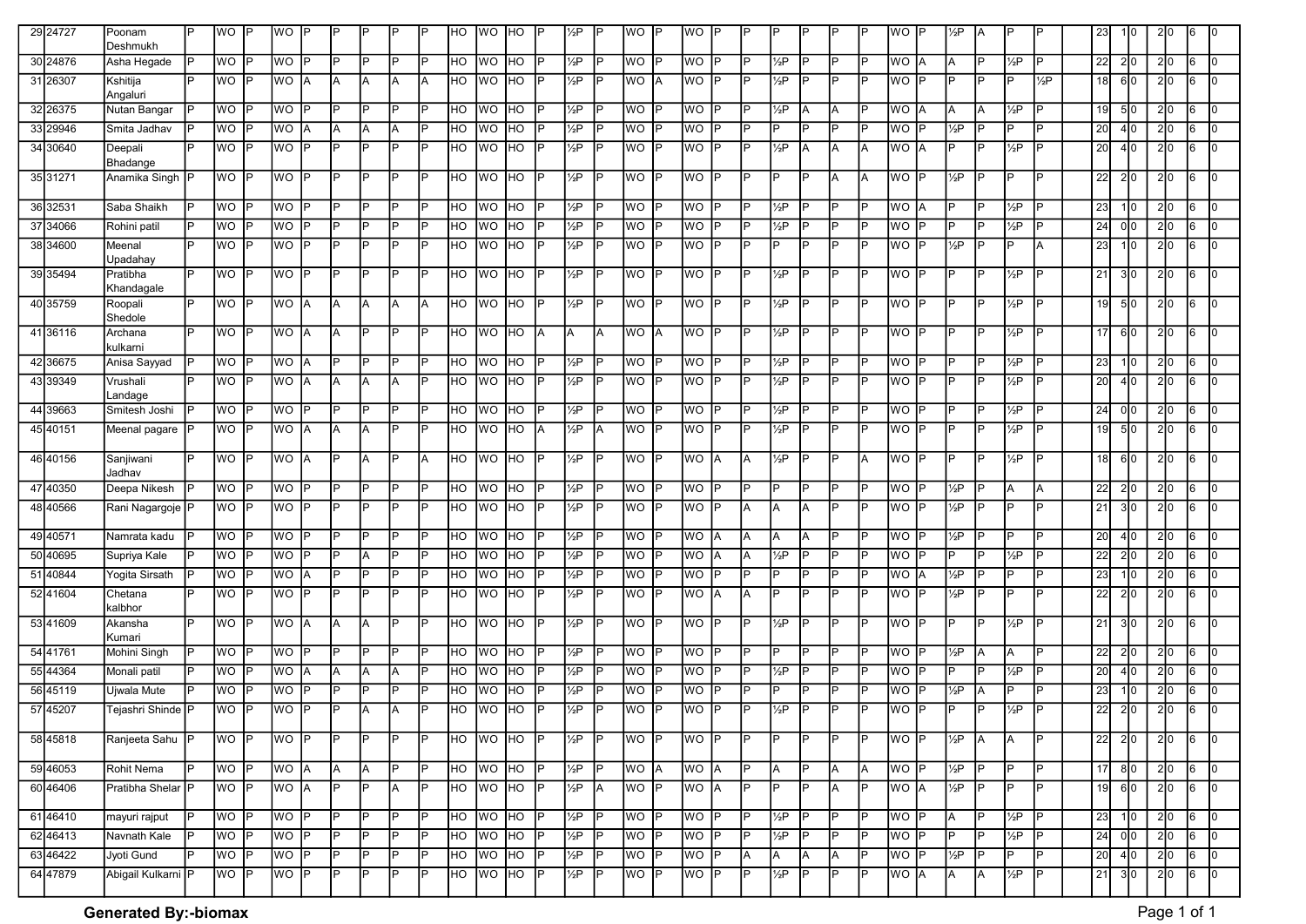| 29 24727  | Poonam                  | P  | lwo.        |           | <b>WO</b> |     |     |     |                |     | HO                      | lwo.          | <b>IHO</b> |     | $\frac{1}{2}P$ |           | <b>WO</b> |           | WO.       |           |                |                   |     |          |     | WO              |    | ½Р             |     |                   |                | 23              | 110. | 210 | 16 |                |
|-----------|-------------------------|----|-------------|-----------|-----------|-----|-----|-----|----------------|-----|-------------------------|---------------|------------|-----|----------------|-----------|-----------|-----------|-----------|-----------|----------------|-------------------|-----|----------|-----|-----------------|----|----------------|-----|-------------------|----------------|-----------------|------|-----|----|----------------|
| 30 24876  | Deshmukh<br>Asha Hegade |    | <b>WO</b>   | IP        | WO.       | Þ   | P   | IP. | D              |     | lнo                     | <b>WO</b>     | <b>IHO</b> |     | $\frac{1}{2}P$ | P         | <b>WO</b> | IP.       | WO        | IP        | IP.            | 1⁄2Р              | P   |          |     | <b>WO</b>       | ΙA | IA.            |     | 1⁄2P              | IP             | 22              | 2 0  | 2 0 | l6 | 0              |
| 31 26307  | Kshitija                | IP | lwo.        |           | WO.       | ΙA  | IA. | ΙA  | A              |     | HO                      | <b>WO</b>     | <b>IHO</b> |     | $\frac{1}{2}P$ |           | <b>WO</b> |           | WO        | <b>P</b>  | <b>IP</b>      | $\frac{1}{2}P$    | P   | <b>P</b> |     | WO P            |    | IP.            | D   | Þ                 | $\frac{1}{2}P$ | 18              | 610  | 2 0 | l6 |                |
|           | Angaluri                |    |             |           |           |     |     |     |                |     |                         |               |            |     |                |           |           |           |           |           |                |                   |     |          |     |                 |    |                |     |                   |                |                 |      |     |    |                |
| 32 26375  | Nutan Bangar            | P  | <b>WO</b>   |           | <b>WO</b> |     | P   | IP. | P              |     | HO                      | <b>WO</b>     | <b>HO</b>  |     | $\frac{1}{2}P$ |           | <b>WO</b> |           | WO        |           | IP.            | $\frac{1}{2}P$    | A   | A        |     | WO A            |    | IA.            |     | 1⁄2Р              | IP             | 19              | 510  | 2 0 | 16 | $\mathbf{0}$   |
| 33 29946  | Smita Jadhav            |    | <b>WO</b>   |           | <b>WO</b> |     | ΙA  | ΙA  | A              |     | HO                      | <b>WO</b>     | <b>HO</b>  |     | $\frac{1}{2}P$ |           | <b>WO</b> |           | <b>WO</b> | IP        | IP.            | P                 | P   | Þ        | l P | WO P            |    | $\frac{1}{2}P$ | D   | P                 | P              | 20              | 4 0  | 2 0 | l6 | $\Omega$       |
| 34 30 640 | Deepali<br>Bhadange     |    | <b>WO</b>   |           | <b>WO</b> | P   | P   | IP. | P              |     | HO                      | <b>WO</b>     | <b>HO</b>  |     | $\frac{1}{2}P$ |           | <b>WO</b> | IP        | <b>WO</b> | IP        | IP.            | $\frac{1}{2}P$    | A   | A        | lΑ  | WO A            |    | IP.            |     | $\frac{1}{2}P$    | P              | 20              | 410  | 2 0 | l6 | $\overline{0}$ |
| 35 31271  | Anamika Singh P         |    | <b>WO</b>   | IP        | <b>WO</b> | IP  | IP  | IP. | P              | ID  | HO.                     | lwo.          | <b>IHO</b> | P   | $\frac{1}{2}P$ | P         | <b>WO</b> | <b>IP</b> | WO        | IP        | IP.            | lP.               | P   | A        | lΑ  | WO P            |    | $\frac{1}{2}P$ | D   | IP.               | P              | 22              | 2 0  | 2 0 | 16 | $\Omega$       |
| 36 32531  | Saba Shaikh             |    | <b>WO</b>   |           | <b>WO</b> |     | P   | IP  | Þ              |     | HO                      | <b>IWO</b>    | <b>HO</b>  |     | $\frac{1}{2}P$ |           | <b>WO</b> |           | WO        |           | <b>IP</b>      | 1⁄2Р              | P   | P        |     | WO A            |    | IP.            |     | $\frac{1}{2}P$    |                | 23              | 110  | 2 0 | 16 |                |
| 37 34066  | Rohini patil            |    | <b>WO</b>   |           | WO        |     | ΙP  | İΡ  | Þ              |     | HO                      | <b>WO</b>     | <b>HO</b>  |     | $\frac{1}{2}P$ |           | <b>WO</b> |           | WO        | IP        | <b>IP</b>      | $\frac{1}{2}P$    | P   | IP       |     | WO P            |    | IP.            |     | 1⁄2P              |                | $\overline{24}$ | 010  | 2 0 | 16 | 0              |
| 38 34600  | Meenal<br>Upadahay      |    | <b>WO</b>   |           | <b>WO</b> | IP  | IP  | IP  | P              |     | HO.                     | <b>WO</b>     | <b>IHO</b> | P   | $\frac{1}{2}P$ | P         | <b>WO</b> | IP        | WO        | IP        | IP.            | D                 | P   | IP       |     | WO P            |    | $\frac{1}{2}P$ | D   | IP.               | A              | 23              | 110  | 2 0 | 16 | 0              |
| 39 35494  | Pratibha<br>Khandagale  | P  | lwo.        |           | <b>WO</b> | IP  | P   | IP. | Þ              | D   | HO                      | <b>IWO</b>    | <b>IHO</b> |     | $\frac{1}{2}P$ |           | <b>WO</b> | IP        | WO        | IP        | IP.            | 1/ <sub>2</sub> P | P   | <b>P</b> |     | WO P            |    | IP.            |     | 1⁄2P              |                | 21              | 310  | 210 | 16 | 10.            |
| 40 35759  | Roopali<br>Shedole      | P  | lwo.        | IP        | <b>WO</b> | ΙA  | l٨  | ΙA  | A              |     | HO                      | <b>IWO</b>    | <b>IHO</b> | P   | $\frac{1}{2}P$ | P         | WO P      |           | <b>WO</b> | <b>IP</b> | IP.            | $\frac{1}{2}P$    | IP. | <b>P</b> | l P | WO P            |    | IP.            |     | 1⁄2P              |                | 19              | 5 0  | 210 | l6 | $\Omega$       |
| 41 36116  | Archana<br>kulkarni     | ΙP | <b>WO</b>   |           | <b>WO</b> | IΑ  | IА. | lP. | P              |     | HO                      | <b>TWO HO</b> |            | IA. | lA.            | ΙA        | <b>WO</b> | ΙA        | WO P      |           | IP.            | $\frac{1}{2}P$    | IP. | IP.      |     | <b>WO</b> P     |    | IP.            |     | $\frac{1}{2}P$    | IP             | 17              | 610  | 2 0 | 16 | 0              |
| 42 36675  | Anisa Sayyad            |    | <b>WO</b>   |           | <b>WO</b> | ΙA  | IP. | IP. | P              |     | HO                      | <b>WO</b>     | <b>HO</b>  | P   | $\frac{1}{2}P$ | P         | <b>WO</b> | IP.       | <b>WO</b> | <b>IP</b> | IP.            | $\frac{1}{2}P$    | IP. | IP.      |     | WO P            |    | IP.            |     | /2P               |                | 23              | 1 0  | 2 0 | l6 | 0              |
| 43 39349  | Vrushali<br>Landage     |    | lwo.        |           | <b>WO</b> | ΙA  | IA. | IA. | A              | P   | HO                      | lwo.          | <b>HO</b>  |     | $\frac{1}{2}P$ |           | <b>WO</b> | IP        | WO        | IP        | IP.            | $\frac{1}{2}P$    | P   | IP.      | lP. | WO P            |    | IP.            | D   | $\frac{1}{2}P$    |                | 20              | 410  | 2 0 | I6 | <sup>0</sup>   |
| 44 39663  | Smitesh Joshi           |    | <b>WO</b>   |           | <b>WO</b> | Þ   | P   | IP. | D              |     | HO                      | <b>IWO</b>    | <b>HO</b>  |     | $\frac{1}{2}P$ |           | <b>WO</b> | IP.       | WO        | IP        | IP.            | $\frac{1}{2}P$    | P   | <b>P</b> |     | WO P            |    | IP.            |     | 1⁄2Р              | IP             | 24              | 010  | 2 0 | l6 |                |
| 45 40151  | Meenal pagare           |    | <b>WO</b>   |           | WO        | ΙA  | IA. | lA. | P              |     | HO                      | <b>WO</b>     | <b>IHO</b> | Α   | $\frac{1}{2}P$ | IΑ        | <b>WO</b> | IP        | WO        | lp        | <b>IP</b>      | 1⁄2Р              | P   | <b>P</b> | l P | WO P            |    | IP.            |     | $\frac{1}{2}P$    |                | 19              | 510  | 2 0 | l6 | $\Omega$       |
| 46 40156  | Sanjiwani<br>Jadhav     | IP | <b>IWO</b>  | IP        | WO        | ΙA  | IP. | ΙA  | P              | ΙA  | <b>HO</b>               | <b>IWO</b>    | <b>IHO</b> | P   | 1/2P           | <b>IP</b> | <b>WO</b> | <b>IP</b> | <b>WO</b> | IA.       | IА.            | 1/ <sub>2</sub> P | P   | IP       | lΑ  | WO P            |    | IP.            | D   | $\frac{1}{2}P$    | IP             | 18              | 610  | 2 0 | l6 | Io.            |
| 47 40350  | Deepa Nikesh            |    | <b>WO</b>   |           | <b>WO</b> |     | P   | IP. | D              |     | HO                      | lwo.          | <b>HO</b>  |     | 1⁄2P           |           | WO        |           | WO        | IP        | IP.            | D                 | P   |          |     | WO P            |    | 1⁄2Р           |     |                   | A              | 22              | 210  | 2 0 | 16 |                |
| 48 40566  | Rani Nagargoje          |    | <b>WO</b>   |           | <b>WO</b> | Þ   | P   | lP. | P              | P   | HO                      | <b>WO</b>     | <b>IHO</b> |     | $\frac{1}{2}P$ | P         | <b>WO</b> | IP.       | <b>WO</b> | IP        | IA.            | A                 | A   | Þ        | IP  | WO P            |    | 1⁄2P           |     | P                 | P              | $\overline{21}$ | 310  | 210 | 16 | 0              |
| 49 40571  | Namrata kadu            |    | <b>WO</b>   |           | WO.       | Þ   | P   | IP. | D              |     | HO.                     | <b>IWO</b>    | <b>IHO</b> |     | $\frac{1}{2}P$ |           | <b>WO</b> | IP        | WO        | IΑ        | IA.            | A                 | A   |          |     | WO P            |    | $\frac{1}{2}P$ |     | IP.               | D              | 20              | 410  | 2 0 | 16 |                |
| 50 40695  | Supriya Kale            |    | <b>WO</b>   |           | WO.       |     | P   | ΙA  | D              |     | HO                      | lwo           | <b>HO</b>  |     | $\frac{1}{2}P$ |           | <b>WO</b> |           | WO        | IΑ        | IA.            | 1⁄2Р              | P   |          |     | WO              |    | P              |     | 1/ <sub>2</sub> P | P              | 22              | 210  | 2 0 | l6 |                |
| 51 40844  | Yogita Sirsath          |    | <b>WO</b>   |           | WO        | ΙA  | ΙP  | IP. | P              |     | <b>HO</b>               | <b>WO</b>     | <b>HO</b>  |     | $\frac{1}{2}P$ |           | <b>WO</b> |           | WO        | IP        | $\overline{P}$ | P                 | P   | P        |     | WO A            |    | $\frac{1}{2}P$ |     | P                 | P              | 23              | 10   | 2 0 | l6 | 0              |
| 52 41604  | Chetana<br>kalbhor      |    | <b>WO</b>   |           | <b>WO</b> | P   | IP. | IP  | P              |     | <b>HO</b>               | <b>IWO</b>    | <b>HO</b>  |     | $\frac{1}{2}P$ |           | <b>WO</b> |           | WO A      |           | IА.            |                   | P   | IP       |     | WO P            |    | $\frac{1}{2}P$ |     | P                 | P              | 22              | 2 0  | 2 0 | l6 | 0              |
| 53 41609  | Akansha<br>Kumari       |    | lwo.        | IP        | <b>WO</b> | ΙA  | IA. | IA. | P              | P   | HO                      | <b>WO</b>     | <b>HO</b>  | P   | $\frac{1}{2}P$ |           | <b>WO</b> | <b>IP</b> | <b>WO</b> | <b>IP</b> | IP             | $\frac{1}{2}P$    | P   | IP.      | lP. | WO <sup>P</sup> |    | IP.            | P   | $\frac{1}{2}P$    |                | 21              | 310  | 20  | 16 | <sup>0</sup>   |
| 54 41761  | Mohini Singh            |    | <b>WO</b>   |           | <b>WO</b> | Þ   | IP  | lP. | D              |     | <b>HO</b>               | <b>WO</b>     | <b>HO</b>  |     | $\frac{1}{2}P$ |           | <b>WO</b> | IP.       | WO        | IP        | IP.            | P                 | P   | Þ        | Þ   | WO P            |    | $\frac{1}{2}P$ |     | A                 | IP             | 22              | 2 0  | 2 0 | l6 |                |
| 55 44364  | Monali patil            |    | <b>WO</b>   |           | <b>WO</b> | ΙA  | IA. | ΙA  | Α              |     | HO                      | <b>WO</b>     | HO         |     | 1/2P           |           | <b>WO</b> |           | WO        |           | IP             | $\frac{1}{2}P$    | P   |          |     | WO              |    | IP.            |     | $\frac{1}{2}P$    |                | 20              | 40   | 2 0 | 16 |                |
| 56 45119  | Ujwala Mute             |    | <b>WO</b>   |           | WO        |     | P   | IP  |                |     | HO                      | lwo.          | <b>HO</b>  |     | $\frac{1}{2}P$ |           | <b>WO</b> |           | WO        |           | IP             |                   |     |          |     | WO              |    | $\frac{1}{2}P$ |     |                   |                | 23              | 110. | 2 0 | 16 | 0              |
| 57 45207  | Tejashri Shinde P       |    | lwo.        |           | <b>WO</b> | IP  | IР  | IA. | lA.            |     | $\overline{\mathsf{H}}$ | <b>WO</b>     | <b>IHO</b> |     | $\frac{1}{2}P$ | P         | <b>WO</b> | IP.       | <b>WO</b> | IP        | <b>IP</b>      | $\frac{1}{2}P$    | P   | IP       | lP. | WO P            |    | lP.            | P   | $\frac{1}{2}P$    | IP             | 22              | 2 0  | 2 0 | 6  | $\overline{0}$ |
| 58 45818  | Ranjeeta Sahu           | P  | lwo IP      |           | WO        | IP. | P   | IP. | Þ              |     | HO                      | <b>WO HO</b>  |            | P   | $\frac{1}{2}P$ | P         | WO P      |           | WO        | <b>IP</b> | IP.            |                   | P   | Þ        | ID  | WO P            |    | $\frac{1}{2}P$ | IA  | lA.               | P              | 22              | 210  | 2 0 | 16 | 10.            |
| 59 46053  | Rohit Nema              | ΙP | WO P        |           | WO A      |     | IA. | IA. | P              |     | HO                      | <b>WO</b>     | <b>HO</b>  |     | $\frac{1}{2}P$ | P         | WO A      |           | <b>WO</b> | <b>JA</b> | IP.            | IA.               | P   | A        | ΙA  | WO P            |    | $\frac{1}{2}P$ | P   | P                 | IP             | 17              | 80   | 2 0 | 6  | 10.            |
| 60 46406  | Pratibha Shelar P       |    | <b>WO</b> P |           | WO A      |     | IP. | IP  | IA.            | IP. | <b>HO</b>               | <b>WO HO</b>  |            | IP  | $\frac{1}{2}P$ | <b>JA</b> | WO P      |           | WO A      |           | IP.            | P                 | P   | A        | l P | WO A            |    | $\frac{1}{2}P$ | P   | IP.               | IP             | 19              | 60   | 2 0 | 6  | $\overline{0}$ |
| 61 46410  | mayuri rajput           |    | <b>WO</b>   | lP.       | <b>WO</b> | IP  | IP. | IP  | P              | P   | HO                      | WO HO         |            | P   | $\frac{1}{2}P$ | -lP       | WO        | IP.       | WO P      |           | <b>IP</b>      | $\frac{1}{2}P$    | P   | IP       |     | WO P            |    | IА.            | P   | $\frac{1}{2}P$    | <b>IP</b>      | 23              | 1 0  | 2 0 | 6  | $\overline{0}$ |
| 62 46413  | Navnath Kale            |    | <b>WO</b>   | lP.       | <b>WO</b> | IP  | IP. | IP. | $\overline{P}$ | IÞ  | H <sub>O</sub>          | <b>WO HO</b>  |            | P   | $\frac{1}{2}P$ | -lP       | <b>WO</b> | <b>IP</b> | WO P      |           | ΤP             | $\frac{1}{2}P$    | IP. | IP.      | IP  | WO P            |    | IP             | lP. | $\frac{1}{2}P$    | IP.            | 24              | 00   | 2 0 | 6  | $\overline{0}$ |
| 63 46422  | Jyoti Gund              |    | WO          |           | <b>WO</b> | IP  | IP. | lP. | P              |     | H <sub>O</sub>          | WO HO         |            | IP. | $\frac{1}{2}P$ | -lP       | WO        | <b>IP</b> | WO P      |           | <b>JA</b>      | A                 | A   | <b>A</b> | IP  | WO P            |    | $\frac{1}{2}P$ | P   | P                 | IP.            | 20              | 4 0  | 2 0 | 6  | $\overline{0}$ |
| 64 47879  | Abigail Kulkarni P      |    | <b>WO</b>   | <b>IP</b> | <b>WO</b> | IP. | P   | IP. | P              | IP  | HO                      | WO HO         |            | P   | $\frac{1}{2}P$ | P         | WO        | <b>IP</b> | <b>WO</b> | <b>IP</b> | IP             | $\frac{1}{2}P$    | P   | IP.      | lP. | WO A            |    | IA.            | IA. | $\frac{1}{2}P$    | IP             | 21              | 310  | 2 0 | 16 | 0              |